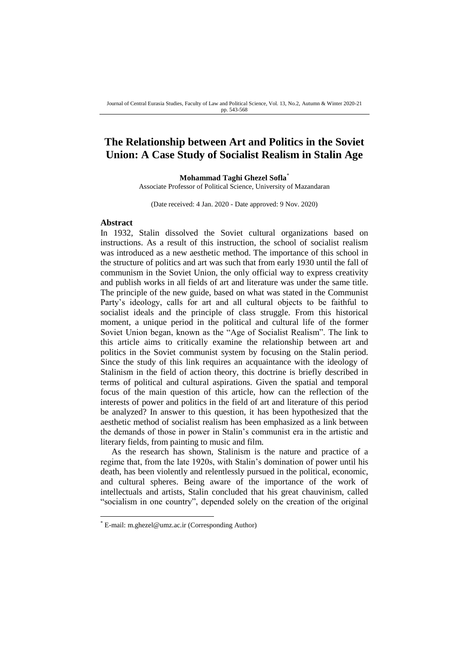# **The Relationship between Art and Politics in the Soviet Union: A Case Study of Socialist Realism in Stalin Age**

### **Mohammad Taghi Ghezel Sofla**\*

Associate Professor of Political Science, University of Mazandaran

(Date received: 4 Jan. 2020 - Date approved: 9 Nov. 2020)

### **Abstract**

-

In 1932, Stalin dissolved the Soviet cultural organizations based on instructions. As a result of this instruction, the school of socialist realism was introduced as a new aesthetic method. The importance of this school in the structure of politics and art was such that from early 1930 until the fall of communism in the Soviet Union, the only official way to express creativity and publish works in all fields of art and literature was under the same title. The principle of the new guide, based on what was stated in the Communist Party's ideology, calls for art and all cultural objects to be faithful to socialist ideals and the principle of class struggle. From this historical moment, a unique period in the political and cultural life of the former Soviet Union began, known as the "Age of Socialist Realism". The link to this article aims to critically examine the relationship between art and politics in the Soviet communist system by focusing on the Stalin period. Since the study of this link requires an acquaintance with the ideology of Stalinism in the field of action theory, this doctrine is briefly described in terms of political and cultural aspirations. Given the spatial and temporal focus of the main question of this article, how can the reflection of the interests of power and politics in the field of art and literature of this period be analyzed? In answer to this question, it has been hypothesized that the aesthetic method of socialist realism has been emphasized as a link between the demands of those in power in Stalin's communist era in the artistic and literary fields, from painting to music and film.

As the research has shown, Stalinism is the nature and practice of a regime that, from the late 1920s, with Stalin's domination of power until his death, has been violently and relentlessly pursued in the political, economic, and cultural spheres. Being aware of the importance of the work of intellectuals and artists, Stalin concluded that his great chauvinism, called "socialism in one country", depended solely on the creation of the original

<sup>\*</sup> E-mail: m.ghezel@umz.ac.ir (Corresponding Author)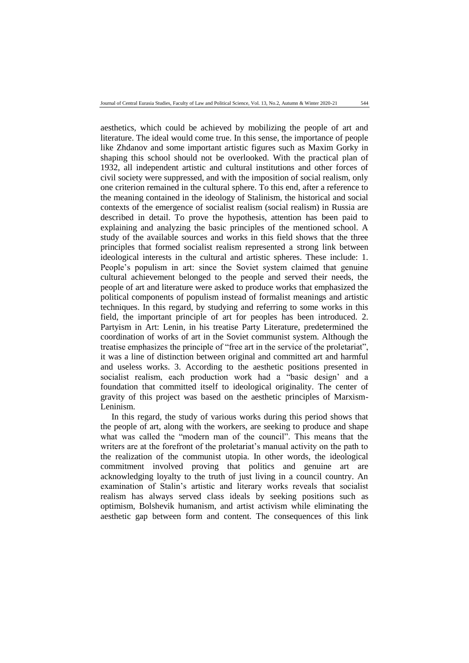aesthetics, which could be achieved by mobilizing the people of art and literature. The ideal would come true. In this sense, the importance of people like Zhdanov and some important artistic figures such as Maxim Gorky in shaping this school should not be overlooked. With the practical plan of 1932, all independent artistic and cultural institutions and other forces of civil society were suppressed, and with the imposition of social realism, only one criterion remained in the cultural sphere. To this end, after a reference to the meaning contained in the ideology of Stalinism, the historical and social contexts of the emergence of socialist realism (social realism) in Russia are described in detail. To prove the hypothesis, attention has been paid to explaining and analyzing the basic principles of the mentioned school. A study of the available sources and works in this field shows that the three principles that formed socialist realism represented a strong link between ideological interests in the cultural and artistic spheres. These include: 1. People's populism in art: since the Soviet system claimed that genuine cultural achievement belonged to the people and served their needs, the people of art and literature were asked to produce works that emphasized the political components of populism instead of formalist meanings and artistic techniques. In this regard, by studying and referring to some works in this field, the important principle of art for peoples has been introduced. 2. Partyism in Art: Lenin, in his treatise Party Literature, predetermined the coordination of works of art in the Soviet communist system. Although the treatise emphasizes the principle of "free art in the service of the proletariat", it was a line of distinction between original and committed art and harmful and useless works. 3. According to the aesthetic positions presented in socialist realism, each production work had a "basic design' and a foundation that committed itself to ideological originality. The center of gravity of this project was based on the aesthetic principles of Marxism-Leninism.

In this regard, the study of various works during this period shows that the people of art, along with the workers, are seeking to produce and shape what was called the "modern man of the council". This means that the writers are at the forefront of the proletariat's manual activity on the path to the realization of the communist utopia. In other words, the ideological commitment involved proving that politics and genuine art are acknowledging loyalty to the truth of just living in a council country. An examination of Stalin's artistic and literary works reveals that socialist realism has always served class ideals by seeking positions such as optimism, Bolshevik humanism, and artist activism while eliminating the aesthetic gap between form and content. The consequences of this link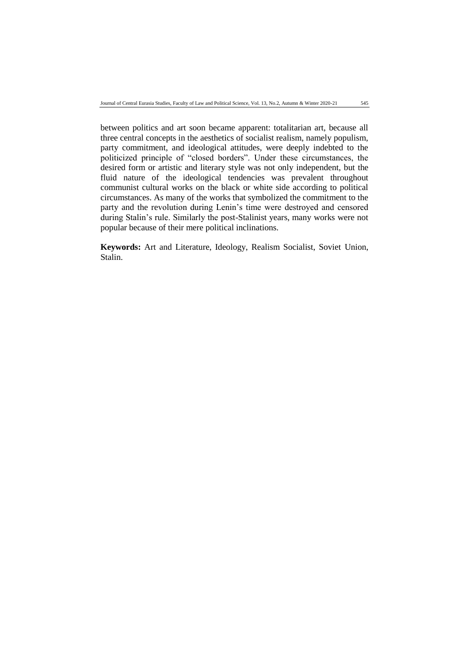between politics and art soon became apparent: totalitarian art, because all three central concepts in the aesthetics of socialist realism, namely populism, party commitment, and ideological attitudes, were deeply indebted to the politicized principle of "closed borders". Under these circumstances, the desired form or artistic and literary style was not only independent, but the fluid nature of the ideological tendencies was prevalent throughout communist cultural works on the black or white side according to political circumstances. As many of the works that symbolized the commitment to the party and the revolution during Lenin's time were destroyed and censored during Stalin's rule. Similarly the post-Stalinist years, many works were not popular because of their mere political inclinations.

**Keywords:** Art and Literature, Ideology, Realism Socialist, Soviet Union, Stalin.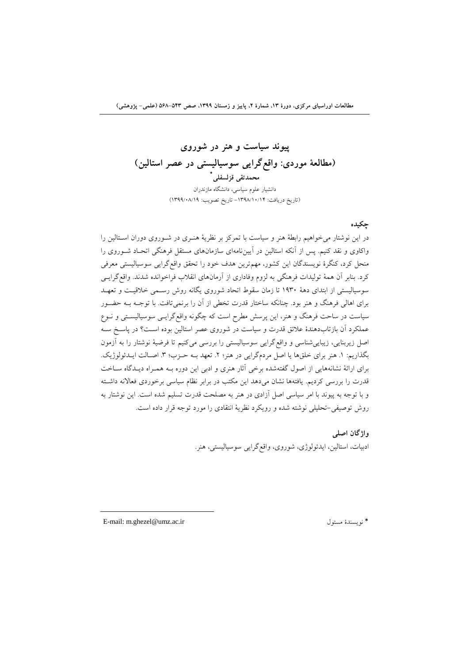**پيوند سياست و هنر در شوروي )مطالعۀ موردي: واقعگرایی سوسياليستی در عصر استالين( \* محمدتقی قزلسفلی** دانشیار علوم سیاسی، دانشگاه مازندران )تاریخ دریافت: -4931/41/41 تاریخ تصویب: 4933/11/43(

## **چکيده**

در این نوشتار میخواهیم رابطۀ هنر و سیاست با تمرکز بر نظریۀ هنرر در شرورو دوران اسرتا ین را واکاوی و نقد کنیم. پس از آنکه استالین در آییننامهای سازمانهای مستقل فرهنگی اتحـاد شـوروی را منحل کرد، کنگرۀ نویسندگان این کشور، مهمترین هدف خود را تحقق واقعگرایی سوسیا یستی معرفی کرد. بنابر آن همۀ تولیدات فرهنگی به لزوم وفاداری از آرمانهای انقلاب فراخوانده شدند. واقع گرایسی سوسیالیستی از ابتدای دهۀ ۱۹۳۰ تا زمان سقوط اتحاد شوروی یگانه روش رسمبی خلاقیت و تعهـد برای اهالی فرهنگ و هنر بود. چنانکه ساختار قدرت تخطی از آن را برنمیتافت. با توجـه بـه حضـور سیاست در ساحت فرهنگ و هنر، این پرسش مطرح است که چگونه واقعگرایسی سوسیالیستی و نـوع عملکرد آن بازتابدهندۀ علائق قدرت و سیاست در شوروی عصر استالین بوده اسـت؟ در پاسـخ سـه اصل زیربنایی، زیباییشناسی و واقعگرایی سوسیا یستی را بررسی میکنیم تا فرضیۀ نوشتار را به آزمون بگذاریم: ١. هنر برای خلقها یا اصل مردمگرایی در هنر؛ ٢. تعهد بـه حـزب؛ ٣. اصـالت ایـدئولوژیک. برای ارائۀ نشانههایی از اصول گفتهشده برخی آثار هنری و ادبی این دوره بـه همـراه دیـدگاه سـاخت قدرت را بررسی کردیم. یافتهها نشان میدهد این مکتب در برابر نظام سیاسی برخوردی فعالانه داشته و با توجه به پیوند با امر سیاسی اصل آزادی در هنر به مصلحت قدرت تسلیم شده است. این نوشتار به روش توصیفی-تحلیلی نوشته شده و رویکرد نظریۀ انتقادی را مورد توجه قرار داده است.

> **واژگان اصلی** ادبیات، استالین، ایدئولوژی، شوروی، واقع گرایی سوسیالیستی، هنر.

E-mail: m.ghezel@umz.ac.ir مسئول نویسندۀ\*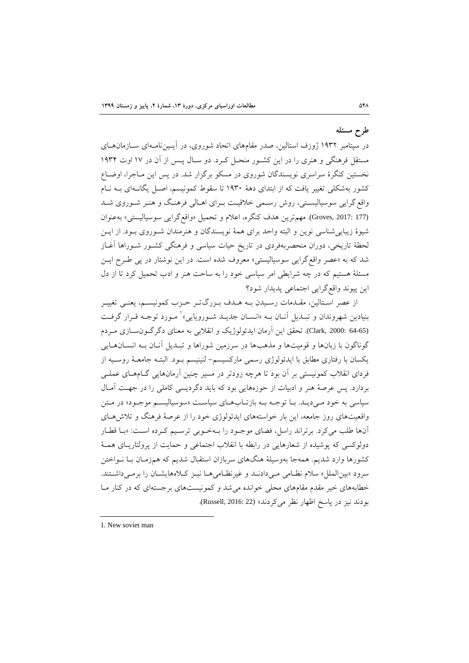# **طرح مسئله**

در سپتامبر ۱۹۳۲ ژوزف استالین، صدر مقامهای اتحاد شوروی، در آیــیننامــهای ســازمان۱مـای مستقل فرهنگی و هنر را در این کشرور منحرل کررد. دو سرال پرس از آن در 41 اوت 4391 نخستین کنگرۀ سراسری نویسندگان شوروی در مسکو برگزار شد. در پس این مـاجرا، اوضـاع کشور بهشکلی تغییر یافت که از ابتدای دهۀ ۱۹۳۰ تا سقوط کمونیسم، اصل یگانـهای بـه نـام واقع گرایی سوسیالیستی، روش رسمی خلاقیت بـرای اهـالی فرهنـگ و هنـر شـوروی شـد (177 :177 .Groves). مهمترین هدف کنگره، اعلام و تحمیل «واقعگرایی سوسیالیستی» بهعنوان شیوۀ زیباییشناسی نوین و البته واحد برای همۀ نویسندگان و هنرمندان شـوروی بـود. از ایــن لحظۀ تاریخی، دوران منحصربهفردی در تاریخ حیات سیاسی و فرهنگی کشـور شـوراها آغـاز شد که به »عصر واقعگرایی سوسیا یستی« معروف شده است. در این نوشتار در پی طررح ا یرن مسئلۀ هستیم که در چه شرایطی امر سیاسی خود را به ساوت هنر و ادب تحمیل کرد تا از دل این پیوند واقعگرایی اجتماعی پدیدار شود

از عصر استالین، مقـدمات رسـیدن بـه هـدف بـزرگتـر حـزب کمونیسـم، یعنـی تغییـر بنیادین شهروندان و تبـدیل آنــان بــه «انســان جدیــد شــورویایی» ٰ مــورد توجــه قــرار گرفــت (64-65 Clark, 2000: تحقق این آرمان ایدئولوژیک و انقلابی به معنای دگرگرون سازی مـردم گوناگون با زبانها و قومیتها و مذهبها در سرزمین شوراها و تبـدیل آنـان بــه انســانهــایی یکسان با رفتاری مطابق با ایدئولوژی رسمی مارکسیسم– لنینیسم بود. البتـه جامعـهٔ روسـیه از فردای انقلاب کمونیستی بر آن بود تا هرچه زودتر در مسیر چنین آرمانهایی گــامهــای عملــی بردارد. پس عرصۀ هنر و ادبیات از حوزههایی بود که باید دگردیسی کاملی را در جهت آمـال سیاسی به خود مردید. با توجه به بازتاب های سیاست «سوسیالیسم موجـود» در مـتن واقعیتهای روز جامعه، این بار خواستههای ایدئولوژی خود را از عرصۀ فرهنگ و تلاش هـای آنها طلب میکرد. برتراند راسل، فضای موجـود را بـهخـوبی ترسـیم کـرده اسـت: «بـا قطـار دولوکسی که پوشیده از شعارهایی در رابطه با انقلاب اجتماعی و حمایت از پرولتاریـای همـۀ کشورها وارد شدیم. همهجا بهوسیلۀ هنگهای سربازان استقبال شدیم که همزمـان بــا نــواختن سرود «بین الملل» سلام نظامی می دادنـد و غیرنظـامی هـا نیـز کـلاههایشـان را برمـی داشـتند. خطابههای خیر مقدم مقامهای محلی خوانده میشد و کمونیستهای برجستهای که در کنار مـا بودند نیز در پاسخ اظهار نظر میکردند» (Russell, 2016: 22).

<sup>1.</sup> New soviet man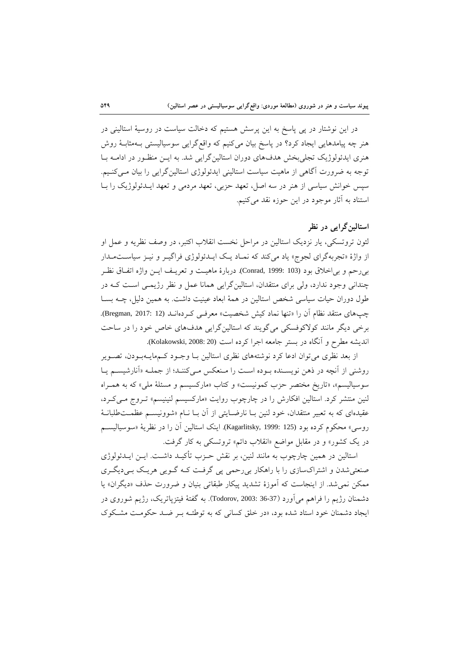در این نوشتار در پی پاسخ به این پرسش هستیم که دخالت سیاست در روسیۀ استالینی در هنر چه پیامدهایی ایجاد کرد؟ در پاسخ بیان میکنیم که واقع گرایی سوسیالیستی بـهمثابـۀ روش هنری ایدئولوژیک تجلیبخش هدفهای دوران استالینگرایی شد. به ایـن منظـور در ادامــه بــا توجه به ضرورت آگاهی از ماهیت سیاست استالینی ایدئولوژی استالینگرایی را بیان میکنیم. سپس خوانش سیاسی از هنر در سه اصل، تعهد حزبی، تعهد مردمی و تعهد ایـدئولوژیک را بـا استناد به آثار موجود در این ووزه نقد میکنیم.

## **استالينگرایی در نظر**

لئون تروتسکی، یار نزدیک استالین در مراحل نخست انقلاب اکتبر، در وصف نظریه و عمل او از واژۀ «تجربهگرای لجوج» یاد میکند که نمـاد یـک ایــدئولوژی فراگیــر و نیــز سیاســتمــدار بیروم و بیاخالق بود (103 1999: ,Conrad(. دربارۀ ماهیرت و تعریرف ایرن واکه اتفراق نظرر چندانی وجود ندارد، ولی برای منتقدان، استالینگرایی همانا عمل و نظر رژیمـی اسـت کـه در طول دوران حیات سیاسی شخص استالین در همۀ ابعاد عینیت داشت. به همین دلیل، چــه بســا چپهای منتقد نظام آن را «تنها نماد کیش شخصیت» معرفـی کـردهانــد (12 :107 Bregman, 2017). برخی دیگر مانند کولاکوفسکی میگویند که استالینگرایی هدفهای خاص خود را در ساحت اندیشه مطرح و آنگاه در بستر جامعه اجرا کرده است (20%:Kolakowski, 2008).

از بعد نظری می توان ادعا کرد نوشتههای نظری استالین بـا وجـود کـمهایـهبـودن، تصـویر روشنی از آنچه در ذهن نویسرنده بروده اسرت را مرنعکس مری کننر د؛ از جملره »آنارشیسرم یرا سوسیالیسم»، «تاریخ مختصر حزب کمونیست» و کتاب «مارکسیسم و مسئلۀ ملی» که به همـراه لنین منتشر کرد. استالین افکارش را در چارچوب روایت «مارکسیسم لنینیسم» تـروج مـی کـرد، عقیدهای که به تعبیر منتقدان، خود لنین بـا نارضـایتی از آن بـا نــام «شوونیســم عظمــتطلبانــۀ روسی» محکوم کرده بود (125 :Kagarlitsky, 1999). اینک استالین آن را در نظریۀ «سوسیالیســم در یک کشور» و در مقابل مواضع «انقلاب دائم» تروتسکی به کار گرفت.

استالین در همین چارچوب به مانند لنین، بر نقش حـزب تأکیـد داشــت. ایــن ایــدئولوژی صنعتی شدن و اشتراکسازی را با راهکار بی رحمی پی گرفت کـه گـویی هریـک بـیدیگـری ممکن نمیشد. از اینجاست که آموزۀ تشدید پیکار طبقاتی بنیان و ضرورت حذف «دیگران» یا دشمنان رژیم را فراهم میآورد (36-36 :Todorov, 2003). به گفتۀ فیتزپاتریک، رژیم شوروی در ایجاد دشمنان خود استاد شده بود، «در خلق کسانی که به توطئـه بـر ضـد حکومـت مشـکوک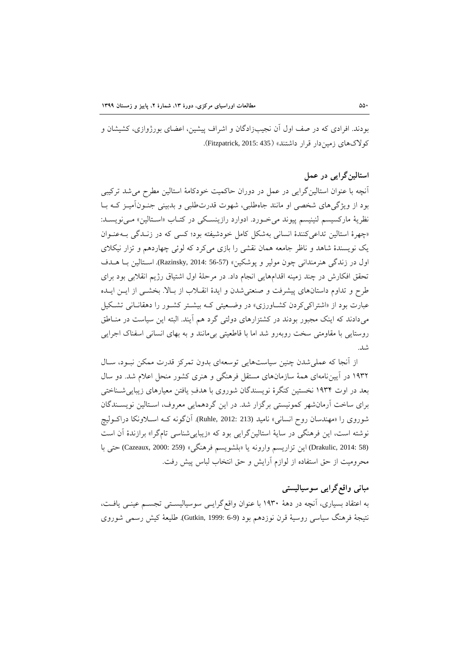بودند. افرادی که در صف اول آن نجیبزادگان و اشراف پیشین، اعضای بورژوازی، کشیشان و کولاکهای زمین دار قرار داشتند» (Fitzpatrick, 2015: 435).

## **استالينگرایی در عمل**

آنچه با عنوان استالین گرایی در عمل در دوران حاکمیت خودکامۀ استالین مطرح می شد ترکیبی بود از ویژگیهای شخصی او مانند جاهطلبی، شهوت قدرتطلبی و بدبینی جنـون|میــز کــه بــا نظریۀ مارکسیسم لنینیسم پیوند می خـورد. ادوارد رازینسـکی در کتـاب «اسـتالین» مـیiویسـد: «چهرۀ استالین تداعی کنندۀ انسانی بهشکل کامل خودشیفته بود؛ کسی که در زندگی بـه عنوان یک نویسندۀ شاهد و ناظر جامعه همان نقشی را بازی میکرد که لوئی چهاردهم و تزار نیکلای اول در زندگی هنرمندانی چون مولیر و پوشکین» (Razinsky, 2014: 56-57). استالین با هـدف تحقق افکارش در چند زمینه اقدامهایی انجام داد. در مرحلۀ اول اشتیاق رژیم انقلابی بود برای طرح و تداوم داستانهای پیشرفت و صنعتی شدن و ایدۀ انقــلاب از بــالا. بخشــی از ایــن ایــده عبارت بود از «اشتراکیکردن کشاورزی» در وضعیتی کـه بیشـتر کشـور را دهقانـانی تشـکیل میدادند که اینک مجبور بودند در کشتزارهای دولتی گرد هم آیند. البته این سیاست در منـاطق روستایی با مقاومتی سخت روبهرو شد اما با قاطعیتی بی مانند و به بهای انسانی اسفناک اجرایی شد.

از آنجا که عملی شدن چنین سیاستهایی توسعهای بدون تمرکز قدرت ممکن نبـود، سـال ۱۹۳۲ در آییننامهای همۀ سازمانهای مستقل فرهنگی و هنری کشور منحل اعلام شد. دو سال بعد در اوت ۱۹۳۴ نخستین کنگرۀ نویسندگان شوروی با هدفِ یافتن معیارهای زیبایی شسناختی برای ساخت آرمانشهر کمونیستی برگزار شد. در این گردهمایی معروف، استالین نویسـندگان شوروی را «مهندسان روح انسانی» نامید (213 :2012 .Ruhle). آنگونه کـه اســلاونکا دراکــولیچ نوشته است، این فرهنگی در سایۀ استالینگرایی بود که «زیبایی شناسی تامگرا» برازندۀ آن است (58 Drakulic, 2014: 58) این تزاریسم وارونه یا «بلشویسم فرهنگی» (Cazeaux, 2000: 259) حتی با محرومیت از حق استفاده از لوازم آرایش و حق انتخاب لباس پیش رفت.

# **مبانی واقعگرایی سوسياليستی**

به اعتقاد بسیار ، آنچه در دهۀ 4391 با عنوان واقعگرایری سوسیا یسرتی تجسرم عینری یافرت، نتیجۀ فرهنگ سیاسی روسیۀ قرن نوزدهم بود (6-6 :Gutkin, 1999). طلیعۀ کیش رسمی شوروی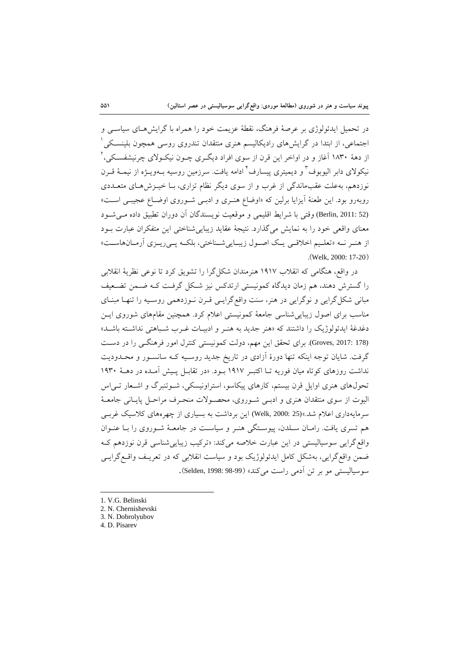در تحمیل ایدئولوژی بر عرصۀ فرهنگ، نقطۀ عزیمت خود را همراه با گرایشهـای سیاسـی و جتماعی، از ابتدا در گرایشهای رادیکالیسم هنری منتقدان تندروی روسی همچون بلینسکی <sup>۱</sup> 2 از دهۀ 4191 آزاز و در اواخر این قرن از سو افراد دیگرر چرون نیکروال چرنیشفسرکی، نیکولای دابر الیوبوف ٔ و دیمیتری پیسارف ٔ ادامه یافت. سرزمین روسیه بـهویــژه از نیمــۀ قــرن نوزدهم، بهعلت عقبماندگی از غرب و از سوی دیگر نظام تزاری، بـا خیـزش هـای متعــددی روبهرو بود. این طعنۀ آیزایا برلین که «اوضاع هنـری و ادبـی شـوروی اوضـاع عجیبـی اسـت» (Berlin, 2011: 52) وقتی با شرایط اقلیمی و موقعیت نویسندگان آن دوران تطبیق داده مری شود معنای واقعی خود را به نمایش میگذارد. نتیجۀ عقاید زیبایی شناختی این متفکران عبارت بـود از هنر نه «تعلیم اخلاقی یک اصول زیبایی شناختی، بلکه پی ریـزی آرمـانهاسـت» .(Welk, 2000: 17-20)

در واقع، هنگامی که انقالب 4341 هنرمندان شکلگرا را تشویق کرد تا نوعی نظریۀ انقالبی را گسترش دهند، هم زمان دیدگاه کمونیستی ارتدکس نیز شکل گرفت کـه ضـمن تضـعیف مبانی شکل گرایی و نوگرایی در هنر، سنت واقعگرایسی قـرن نـوزدهمی روسـیه را تنهـا مبنـای مناسب برای اصول زیبایی شناسی جامعۀ کمونیستی اعلام کرد. همچنین مقامهای شوروی ایـن دغدغۀ ایدئولوژیک را داشتند که «هنر جدید به هنـر و ادبیـات غـرب شـباهتی نداشـته باشـد» (Groves, 2017: 178). برای تحقق این مهم، دولت کمونیستی کنترل امور فرهنگ<sub>ری</sub> را در دست گرفت. شایان توجه اینکه تنها دورۀ آزادی در تاریخ جدید روسسیه کـه سانسـور و محـدودیت نداشت روزهای کوتاه میان فوریه تـا اکتبـر ١٩١٧ بـود. «در تقابـل پـیش آمـده در دهـۀ ١٩٣٠ تحولهای هنری اوایل قرن بیستم، کارهای پیکاسو، استراونیسکی، شـوئنبرگ و اشـعار تـی|س الیوت از سوی منتقدان هنری و ادبـی شـوروی، محصـولات منحـرف مراحـل پایــانی جامعــۀ سرمایهداری اعلام شد.»(25 :Welk, 2000) این برداشت به بسیاری از چهرههای کلاسیک غربـی هم تسری یافت. رامـان سـلدن، پیوسـتگی هنـر و سیاسـت در جامعـهٔ شـوروی را بــا عنـوان واقع گرایی سوسیالیستی در این عبارت خلاصه میکند: «ترکیب زیباییشناسی قرن نوزدهم ک ضمن واقعگرایی، بهشکل کامل ایدئولوژیک بود و سیاست انقلابی که در تعریـف واقــعگرایــی سوسیالیستی مو بر تن آدمی راست میکند» (Selden, 1998: 98-99).

<sup>1.</sup> V.G. Belinski

<sup>2.</sup> N. Chernishevski

<sup>3.</sup> N. Dobrolyubov

<sup>4.</sup> D. Pisarev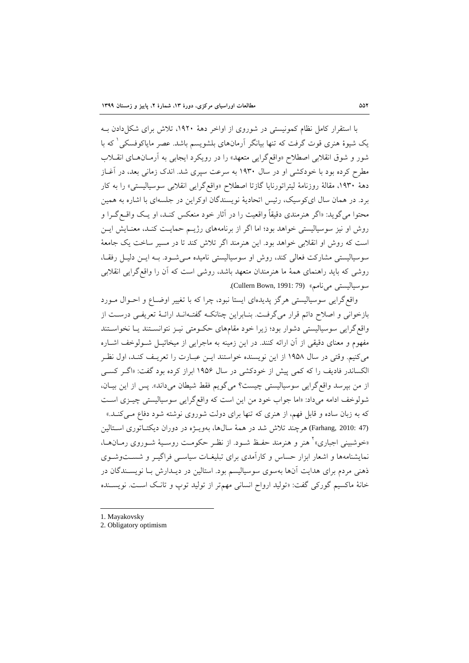با استقرار کامل نظام کمونیستی در شوروی از اواخر دهۀ ١٩٢٠، تلاش برای شکل دادن بـه بک شیوۀ هنری قوت گرفت که تنها بیانگر آرمانهای بلشویسم باشد. عصر مایاکوفسکی ٰ که با شور و شوق انقلابی اصطلاح «واقع گرایی متعهد» را در رویکرد ایجابی به آرمـان هـای انقــلاب مطرح کرده بود با خودکشی او در سال ۱۹۳۰ به سرعت سپری شد. اندک زمانی بعد، در آغــاز دهۀ ۱۹۳۰، مقالۀ روزنامۀ لیتراتورنایا گازتا اصطلاح «واقعگرایی انقلابی سوسیالیستی» را به کار برد. در همان سال ایکوسیک، رئیس اتحادیۀ نویسندگان اوکراین در جلسهای با اشاره به همین محتوا میگوید: «اگر هنرمندی دقیقاً واقعیت را در آثار خود منعکس کنـد، او یـک واقــع گــرا و روش او نیز سوسیالیستی خواهد بود؛ اما اگر از برنامههای رژیـم حمایـت کنـد، معنـایش ایـن است که روش او انقلابی خواهد بود. این هنرمند اگر تلاش کند تا در مسیر ساخت یک جامعۀ سوسیالیستی مشارکت فعالی کند، روش او سوسیالیستی نامیده میشود. به ایس دلیل رفقا، روشی که باید راهنمای همۀ ما هنرمندان متعهد باشد، روشی است که آن را واقعگرایی انقلابی سوسیالیستی مینامم» (Cullern Bown, 1991: 79).

واقع گرایی سوسیالیستی هرگز پدیدهای ایستا نبود، چرا که با تغییر اوضـاع و احـوال مـورد بازخوانی و اصلاح دائم قرار میگرفت. بنـابراین چنانکـه گفتـهانـد ارائـهٔ تعریفـی درسـت از واقع گرایی سوسیالیستی دشوار بود؛ زیرا خود مقامهای حکومتی نیـز نتوانسـتند یـا نخواسـتند مفهوم و معنای دقیقی از آن ارائه کنند. در این زمینه به ماجرایی از میخائیـل شـولوخف اشـاره میکنیم. وقتی در سال 4391 از این نویسنده خواستند ایرن عبرارت را تعریرف کنرد، اول نظرر ا کساندر فادیف را که کمی پیش از خودکشی در سال 4391 ابراز کرده بود گفت: »اگرر کسری از من بپرسد واقع گرایی سوسیالیستی چیست؟ میگویم فقط شیطان میداند». پس از این بیـان، شولوخف ادامه میداد: «اما جواب خود من این است که واقع گرایی سوسیالیستی چیـزی اسـت که به زبان ساده و قابل فهم، از هنری که تنها برای دولت شوروی نوشته شود دفاع مـیکنـد.» (Farhang, 2010: 47) هرچند تلاش شد در همۀ سالها، بهویـژه در دوران دیکتـاتوری اسـتالین اخوشبینی اجباری»<sup>۲</sup> هنر و هنرمند حفـظ شــود. از نظــر حکومــت روســیهٔ شــوروی رمــانهــا، نمایشنامهها و اشعار ابزار حساس و کارآمدی برای تبلیغـات سیاسـی فراگیـر و شسـتوشـوی ذهنی مردم برای هدایت آنها بهسوی سوسیالیسم بود. استالین در دیــدارش بــا نویســندگان در خانۀ ماکسیم گورکی گفت: »تو ید ارواح انسانی مهمتر از تو ید توپ و تانر اسرت. نویسرنده

1. Mayakovsky

**.** 

2. Obligatory optimism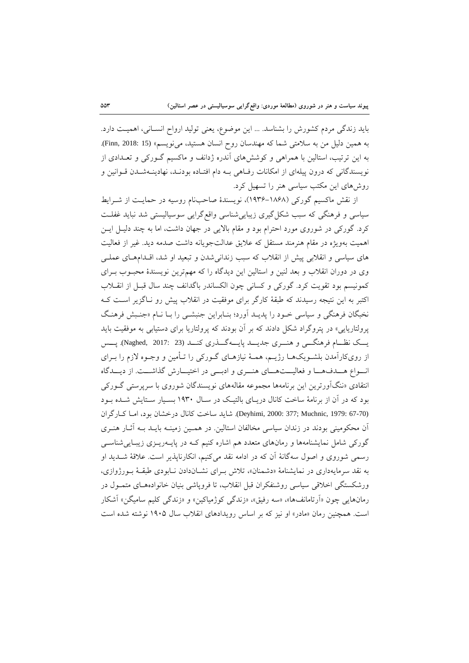باید زندگی مردم کشورش را بشناسد. ... این موضوع، یعنی تولید ارواح انسـانی، اهمیـت دارد. به همین دلیل من به سلامتی شما که مهندسان روح انسان هستید، می نویسم» (15 :Finn, 2018: 15). به این ترتیب، استالین با همراهی و کوششهای آندره ژدانف و ماکسیم گـورکی و تعـدادی از نویسندگانی که درون پیلهای از امکانات رفاهی ب دام افتـاده بودنـد، نهادینـهشـدن قـوانین و روشهای این مکتب سیاسی هنر را تسهیل کرد.

از نقش ماکسیم گورکی (۱۸۶۸-۱۹۳۶)، نویسندۀ صاحبنام روسیه در حمایت از شـرایط سیاسی و فرهنگی که سبب شکل گیری زیبایی شناسی واقع گرایی سوسیالیستی شد نباید غفلت کرد. گورکی در شوروی مورد احترام بود و مقام بالایی در جهان داشت، اما به چند دلیـل ایـن اهمیت بهویژه در مقام هنرمند مستقل که علایق عدالتجویانه داشت صدمه دید. غیر از فعالیت های سیاسی و انقلابی پیش از انقلاب که سبب زندانی شدن و تبعید او شد، اقلدامهای عملـی وی در دوران انقلاب و بعد لنین و استالین این دیدگاه را که مهمترین نویسندۀ محبـوب بـرای کمونیسم بود تقویت کرد. گورکی و کسانی چون الکساندر باگدانف چند سال قبـل از انقــلاب اکتبر به این نتیجه رسیدند که طبقۀ کارگر برای موفقیت در انقلاب پیش رو نـاگزیر اسـت کـه نخبگان فرهنگی و سیاسی خرود را پدیرد آورد ؛ بنرابراین جنبشری را برا نرام »جنربش فرهنرگ پرولتاریایی» در پتروگراد شکل دادند که بر آن بودند که پرولتاریا برای دستیابی به موفقیت باید یرر نظررام فرهنگرری و هنررر جدیررد پایرره گررذر کنررد (23 2017: ,Naghed(. پررس از رویکارآمدن بلشـویکهـا رژیـم، همـهٔ نیازهـای گـورکی را تـأمین و وجـوه لازم را بـرای انواع هـدفهـا و فعالیــتهـای هنــری و ادبــی در اختیــارش گذاشــت. از دیــدگاه انتقادی «ننگآورترین این برنامهها مجموعه مقالههای نویسندگان شوروی با سرپرستی گـورکی بود که در آن از برنامۀ ساخت کانال دریـای بالتیـک در سـال ۱۹۳۰ بسـیار سـتایش شــده بــود (67-70 Deyhimi, 2000: 377; Muchnic, 1979: شاید ساخت کانال درخشان بود، امـا کـارگران آن محکومینی بودند در زندان سیاسی مخالفان استالین. در همـین زمینـه بایـد بـه آثـار هنـری گورکی شامل نمایشنامهها و رمانهای متعدد هم اشاره کنیم ک هدر پایـهریـزی زیبـایی شناسـی رسمی شوروی و اصول سهگانۀ آن که در ادامه نقد میکنیم، انکارناپذیر است. علاقۀ شــدید او به نقد سرمایهداری در نمایشنامۀ «دشمنان»، تلاش بـرای نشـاندادن نـابودی طبقـۀ بـورژوازی، ورشکستگی اخالقی سیاسی روشنفکران قبل انقالب، تا فروپاشی بنیان خانوادههرا متمرول در رمانهایی چون «آرتامانفها»، «سه رفیق»، «زندگی کوژمیاکین» و «زندگی کلیم سامیگن» آشکار است. همچنین رمان «مادر» او نیز که بر اساس رویدادهای انقلاب سال ۱۹۰۵ نوشته شده است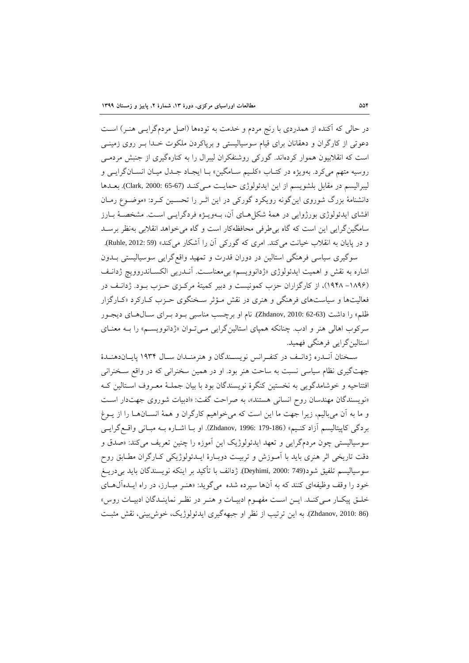در حالی که آکنده از همدردی با رنج مردم و خدمت به تودهها (اصل مردمگرایـی هنـر) اسـت دعوتی از کارگران و دهقانان برای قیام سوسیالیستی و برپاکردن ملکوت خـدا بـر روی زمینـی است که انقالبیون هموار کردهاند. گورکی روشنفکران یبرال را به کنارهگیر از جنبش مردمری روسیه متهم میکرد. بهویژه در کتـاب «کلـیم سـامگین» بـا ایجـاد جـدل میـان انسـانگرایـی و لیبرالیسم در مقابل بلشویسم از این ایدئولوژی حمایت مرکند (67-65 Clark, 2000: بعدها دانشنامۀ بزرگ شوروی اینگونه رویکرد گورکی در این اثـر را تحسـین کـرد: «موضـوع رمـان افشای ایدئولوژی بورژوایی در همۀ شکلهای آن، بـهویـژه فردگرایـی اسـت. مشخصـۀ بـارز سامگینگرایی این است که گاه بیطرفی محافظهکار است و گاه میخواهد انقالبی بهنظر برسرد و در پایان به انقلاب خیانت میکند. امری که گورکی آن را آشکار میکند» (Ruhle, 2012: 59).

سوگیری سیاسی فرهنگی استالین در دوران قدرت و تمهید واقع گرایی سوسیالیستی بــدون اشاره به نقش و اهمیت ایدئولوژی «ژدانوویسم» بیمعناست. آنـدریی الکسـاندروویچ ژدانـف (۱۸۹۶– ۱۹۴۸)، از کارگزاران حزب کمونیست و دبیر کمیتۀ مرکـزی حـزب بـود. ژدانـف در فعالیتها و سیاستهای فرهنگی و هنری در نقش مـؤثر سـخنگوی حـزب کـارکرد «کـارگزار ظلم» را داشت (63-62 Zhdanov, 2010: 62). نام او برچسب مناسبی بود بـرای سـالهـای دیجـور سرکوب اهالی هنر و ادب. چنانکه همپای استالین گرایی می توان «ژدانوویسم» را بـه معنـای استالین گرایی فرهنگی فهمید.

سخنان آنـدره ژدانـف در کنفـرانس نویســندگان و هنرمنــدان سـال ۱۹۳۴ پایــاندهنــدۀ جهتگیری نظام سیاسی نسبت به ساحت هنر بود. او در همین سخنرانی که در واقع سـخنرانی افتتاحیه و خوشامدگویی به نخستین کنگرۀ نویسندگان بود با بیان جملـۀ معـروف اسـتالین کـه »نویسندگان مهندسان روح انسانی هستند«، به صراوت گفت: »ادبیات شورو جهتدار اسرت و ما به آن میبالیم، زیرا جهت ما این است که میخواهیم کارگران و همۀ انســانهــا را از یــوغ بردگی کاپیتالیسم آزاد کنـیم» (179-179 :Zhdanov, 1996). او بــا اشــاره بــه مبــانی واقــع گرایــی سوسیالیستی چون مردمگرایی و تعهد ایدئولوژیک این آموزه را چنین تعریف میکند: «صدق و دقت تاریخی اثر هنری باید با آمـوزش و تربیـت دوبـارهٔ ایــدئولوژیکی کـارگران مطـابق روح سوسیالیسم تلفیق شود(749 :Deyhimi, 2000). ژدانف با تأکید بر اینکه نویسندگان باید بی دریــغ خود را وقف وظیفهای کنند که به آنها سپرده شده میگوید: «هنـر مبـارز، در راه ایــدهآلهـای خلرق پیکرار مریکنرد. ایرن اسرت مفهروم ادبیرات و هنرر در نظرر نماینردگان ادبیرات روس« (26 Zhdanov, 2010: 86). به این ترتیب از نظر او جبههگیری ایدئولوژیک، خوش بینی، نقش مثبت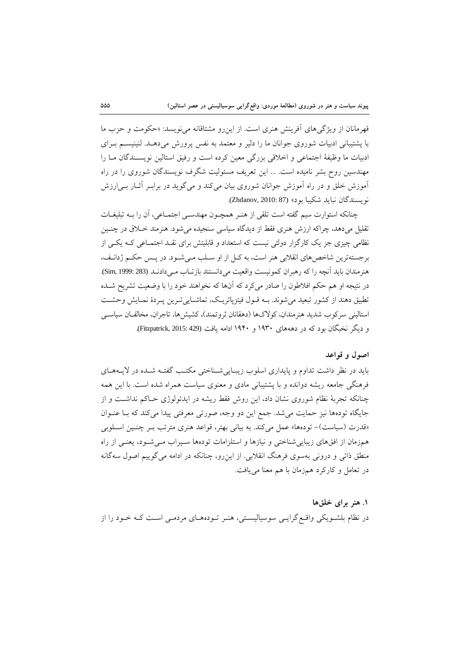قهرمانان از ویژگیهای آفرینش هنری است. از این رو مشتاقانه می نویسد: «حکومت و حزب ما با پشتیبانی ادبیات شوروی جوانان ما را دلیر و معتمد به نفس پرورش می دهـد. لنینیسـم بـرای ادبیات ما وظیفۀ اجتماعی و اخالقی بزرگی معین کرده است و رفیق استا ین نویسرندگان مرا را مهندسین روح بشر نامیده است. ... این تعریف مسئو یت شگرف نویسندگان شورو را در راه آموزش خلق و در راه آموزش جوانان شورو بیان میکند و میگوید در برابرر آثرار بری ارزش نویسندگان نباید شکیبا بود« (87 2010: ,Zhdanov(.

چنانکه استوارت سیم گفته است تلقی از هنرر همچرون مهندسری اجتمراعی، آن را بر ه تبلیغرات تقلیل میدهد، چراکه ارزش هنر فقط از دیدگاه سیاسی سنجیده میشود. هنرمند خرالق در چنرین نظامی چیزی جز یک کارگزار دولتی نیست که استعداد و قابلیتش برای نقـد اجتمـاعی کـه یکـی از برجستهترین شاخصهای انقلابی هنر است، به کـل از او سـلب مـی شـود. در پـس حکـم ژدانـف، هنرمندان باید آنچه را که رهبران کمونیست واقعیت میدانستند بازتـاب مـیدادنـد (283 :Sim, 1999). در نتیجه او هم وکم افالطون را صادر میکرد که آنها که نخواهند خود را با وضعیت تشریح شرده تطبیق دهند از کشور تبعید می شوند. بــه قــول فیتزپاتریــک، تماشــایی تــرین پــردۀ نمــایش وحشــت استالینی سرکوب شدید هنرمندان، کولاکها (دهقانان ثروتمند)، کشیشها، تاجران، مخالفان سیاسی و دیگر نخبگان بود که در دهههای ۱۹۳۰ و ۱۹۴۰ ادامه یافت (Fitzpatrick, 2015: 429).

### **اصول و قواعد**

باید در نظر داشت تداوم و پایداری اسلوب زیبایی شـناختی مکتـب گفتـه شـده در لایـههـای فرهنگی جامعه ریشه دوانده و با پشتیبانی مادی و معنوی سیاست همراه شده است. با این همه چنانکه تجربۀ نظام شوروی نشان داد، این روش فقط ریشه در ایدئولوژی حـاکم نداشـت و از جایگاه تودهها نیز حمایت می شد. جمع این دو وجه، صورتی معرفتی پیدا می کند که بـا عنـوان «قدرت (سیاست)- تودهها» عمل میکند. به بیانی بهتر، قواعد هنری مترتب بـر چنـین اسـلوبی همزمان از افقهای زیبایی شناختی و نیازها و استلزامات تودهها سیراب می شود، یعنبی از راه منطق ذاتی و درونی بهسو فرهنگ انقالبی. از اینرو، چنانکه در ادامه میگوییم اصول سهگانه در تعامل و کارکرد همزمان با هم معنا مییافت.

#### **.3 هنر براي خلقها**

در نظام بلشـویکی واقـع گرایـی سوسیالیسـتی، هنـر تـودههـای مردمـی اسـت کـه خـود را از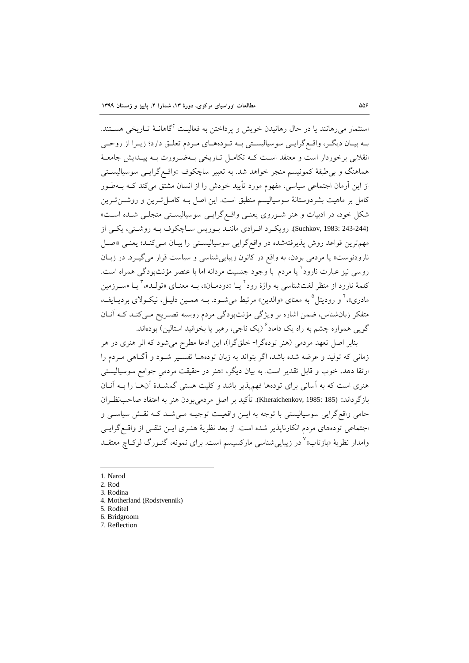استثمار میرهانند یا در حال رهانیدن خویش و پرداختن به فعالیت آگاهانـۀ تـاریخی هسـتند. بـه بیـان دیگـر، واقـع گرایـی سوسیالیسـتی بـه تـودههـای مـردم تعلـق دارد؛ زیـرا از روحـی انقلابی برخوردار است و معتقد است کـه تکامـل تـاریخی بـهضـرورت بـه پیـدایش جامعـهٔ هماهنگ و بیطبقۀ کمونیسم منجر خواهد شد. به تعبیر ساچکوف »واقرع گرایری سوسیا یسرتی از این آرمان اجتماعی سیاسی، مفهوم مورد تأیید خودش را از انسان مشتق میکند کره بره طرور کامل بر ماهیت بشردوستانۀ سوسیالیسم منطبق است. این اصل بـه کامـل تـرین و روشــن تـرین شکل خود، در ادبیات و هنر شـوروی یعنـی واقـع گرایـی سوسیالیسـتی متجلـی شـده اسـت» (243-244 .Suchkov, 1983). رویک و افرادی ماننـد بـوریس سـاچکوف بـه روشـنی، یکـی از مهمترین قواعد روش پذیرفتهشده در واقع گرایی سوسیالیستی را بیـان مـیکنـد؛ یعنـی «اصـل نارودنوست» یا مردمی بودن، به واقع در کانون زیبایی شناسی و سیاست قرار می گیـرد. در زبـان روسی نیز عبارت نارود<sup>\</sup> یا مردم با وجود جنسیت مردانه اما با عنصر مؤنث بودگی همراه است. کلمۀ نارود از منظر لغتشناسی به واژۀ رود ٔ یــا «دودمــان»، بــه معنــای «تولــد»، ٔ یــا «ســرزمین مادری»،<sup>۲</sup> و رودیتل<sup>۵</sup> به معنای «والدین» مرتبط میشـود. بــه همــین دلیــل، نیکــولای بردیــایف، متفکر زبانشناس، ضمن اشاره بر ویژگی مثنثبودگی مردم روسیه تصرریح مری کنرد کره آنران گویی همواره چشم به راه یک داماد<sup>۲</sup> (یک ناجی، رهبر یا بخوانید استالین) بودهاند.

بنابر اصل تعهد مردمی (هنر تودهگرا- خلقگرا)، این ادعا مطرح میشود که اثر هنری در هر زمانی که تو ید و عرضه شده باشد، اگر بتواند به زبان تودههرا تفسریر شرود و آگراهی مرردم را ارتقا دهد، خوب و قابل تقدیر است. به بیان دیگر، «هنر در حقیقت مردمی جوامع سوسیالیستی هنری است که به آسانی برای تودهها فهمپذیر باشد و کلیت هستی گمشـدۀ آنهـا را بـه آنـان بازگرداند» (185 :1985 .Kheraichenkov). تأکید بر اصل مردمیبودن هنر به اعتقاد صاحبنظران حامی واقع گرایی سوسیالیستی با توجه به ایـن واقعیـت توجیـه مـیشـد کـه نقـش سیاسـی و اجتماعی تودههای مردم انکارناپذیر شده است. از بعد نظریۀ هنـری ایـن تلقـی از واقـع گرایـی وامدار نظریۀ «بازتاب»<sup>√</sup> در زیباییشناسی مارکسیسم است. برای نمونه، گئــورگ لوکــاچ معتقــد

1

5. Roditel

7. Reflection

<sup>1.</sup> Narod

<sup>2.</sup> Rod

<sup>3.</sup> Rodina

<sup>4.</sup> Motherland (Rodstvennik)

<sup>6.</sup> Bridgroom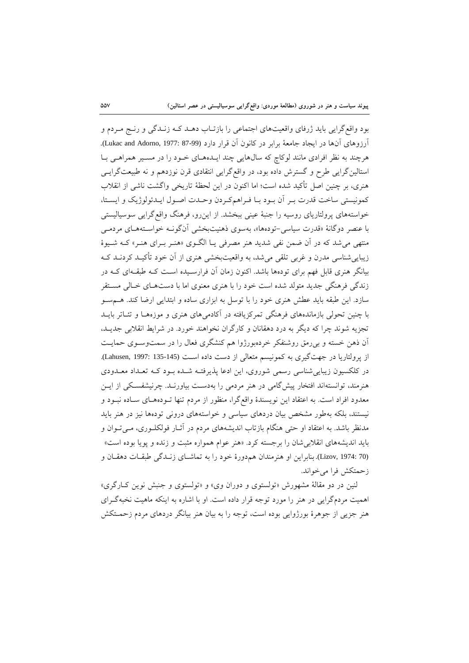بود واقع گرایی باید ژرفای واقعیتهای اجتماعی را بازتـاب دهـد کـه زنـدگی و رنـج مـردم و آرزوهای آنها در ایجاد جامعۀ برابر در کانون آن قرار دارد (Lukac and Adorno, 1977: 87-99). هرچند به نظر افرادی مانند لوکاچ که سالهایی چند ایـدههـای خـود را در مسـیر همراهـی بـا استالینگرایی طرح و گسترش داده بود، در واقعگرایی انتقادی قرن نوزدهم و نه طبیعتگرایسی هنر ، بر چنین اصل تأکید شده است؛ اما اکنون در این حظۀ تاریخی واگشت ناشی از انقالب کمونیستی ساخت قدرت بـر آن بـود بـا فـراهمکـردن وحـدت اصـول ایـدئولوژیک و ایسـتا، خواستههای پرولتاریای روسیه را جنبۀ عینی ببخشد. از این رو، فرهنگ واقع گرایی سوسیالیستی با عنصر دوگانۀ «قدرت سیاسی-تودهها»، بهسوی ذهنیتبخشی آنگونـه خواسـتههـای مردمـی منتهی می شد که در آن ضمن نفی شدید هنر مصرفی یـا الگـوی «هنـر بـرای هنـر» کـه شـیوهٔ زیباییشناسی مدرن و غربی تلقی میشد، به واقعیتبخشی هنری از آن خود تأکیـد کردنـد کـه بیانگر هنری قابل فهم برای تودهها باشد. اکنون زمان آن فرارسـیده اسـت کـه طبقـهای کـه در زندگی فرهنگی جدید متولد شده است خود را با هنری معنوی اما با دستهـای خـالی مسـتقر سازد. این طبقه باید عطش هنری خود را با توسل به ابزاری ساده و ابتدایی ارضا کند. هسمسو با چنین تحولی بازماندههای فرهنگی تمرکزیافته در آکادمیهای هنری و موزههـا و تئـاتر بایــد تجزیه شوند چرا که دیگر به درد دهقانان و کارگران نخواهند خورد. در شرایط انقالبی جدیرد، آن ذهن خسته و بیرمق روشنفکر خردهبورژوا هم کنشگری فعال را در سمتوسـوی حمایـت از پرولتاریا در جهتگیری به کمونیسم متعالی از دست داده است (145-135 :1997). Lahusen, 1997 در کلکسیون زیبایی شناسی رسمی شوروی، این ادعا پذیرفتـه شـده بـود کـه تعـداد معـدودی هنرمند، توانستهاند افتخار پیشگامی در هنر مردمی را بهدست بیاورنـد. چرنیشفسکی از ایـن معدود افراد است. به اعتقاد این نویسندۀ واقعگرا، منظور از مردم تنها تروده هرا سراده نبرود و نیستند، بلکه بهطور مشخص بیان دردهای سیاسی و خواستههای درونی تودهها نیز در هنر باید مدنظر باشد. به اعتقاد او حتی هنگام بازتاب اندیشههای مردم در آثـار فولکلــوری، مــیتــوان و باید اندیشههای انقلابیشان را برجسته کرد. «هنر عوام همواره مثبت و زنده و پویا بوده است» (Lizov, 1974: 70). بنابراین او هنرمندان هم دورۀ خود را به تماشای زنـدگی طبقـات دهقـان و زومتکش فرا میخواند.

لنین در دو مقالۀ مشهورش «تولستوی و دوران وی» و «تولستوی و جنبش نوین ک]رگری» اهمیت مردمگرایی در هنر را مورد توجه قرار داده است. او با اشاره به اینکه ماهیت نخبهگررا هنر جزیی از جوهرۀ بورژوایی بوده است، توجه را به بیان هنر بیانگر دردهای مردم زحمـتکش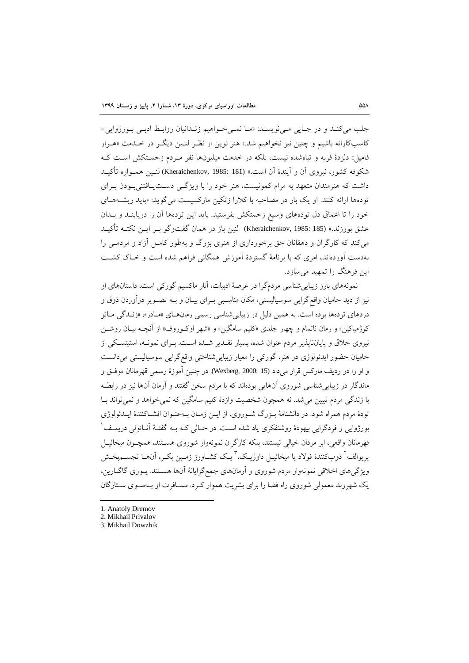جلب میکند و در جایی مری نویسد: «ما نمر خواهیم زندانیان روابط ادبری بورژوایی-کاسبکارانه باشیم و چنین نیز نخواهیم شد.« هنر نوین از نظرر نرین دیگرر در خردمت »هرزار فامیل» دلزدۀ فربه و تباهشده نیست، بلکه در خدمت میلیونها نفر مـردم زحمـتکش اسـت کـه شکوفه کشور، نیروی آن و آیندۀ آن است.» (181 :Kheraichenkov, 1985) لنـین همـواره تأکیـد داشت که هنرمندان متعهد به مرام کمونیست، هنر خود را با ویژگی دست یافتنی بودن بـرای تودهها ارائه کنند. او یک بار در مصاحبه با کلارا زتکین مارکسیست می گوید: «باید ریشـههـای خود را تا اعماق دل تودههای وسیع زحمتکش بفرستید. باید این تودهها آن را دریابنــد و بــدان عشق بورزند.» (185 :Kheraichenkov, 1985 ) لنین باز در همان گفت<code>وگو بـر ایــن نکتـه تأکیــد</code> میکند که کارگران و دهقانان حق برخورداری از هنری بزرگ و بهطور کامـل آزاد و مردمـی را بهدست آوردهاند، امر که با برنامۀ گستردۀ آموزش همگانی فراهم شده است و خراک کشرت این فرهنگ را تمهید میسازد.

نمونههای بارز زیباییشناسی مردمگرا در عرصۀ ادبیات، آثار ماکسیم گورکی است، داستانهای او نیز از دید حامیان واقع گرایی سوسیالیستی، مکان مناسبی بـرای بیـان و بـه تصـویر درآوردن ذوق و دردهای تودهها بوده است. به همین دلیل در زیبایی شناسی رسمی رمانهـای «مـادر»، «زنـدگی مــاتو کوژمیاکین» و رمان ناتمام و چهار جلدی «کلیم سامگین» و «شهر اوکـوروف» از آنچــه بیــان روشــن نیروی خلاق و پایانناپذیر مردم عنوان شده، بسیار تقـدیر شـده اسـت. بـرای نمونـه، استیتسـکی از حامیان حضور ایدئولوژی در هنر، گورکی را معیار زیبایی شناختی واقع گرایی سوسیالیستی میدانست و او را در ردیف مارکس قرار میداد (15 2000: ,Wexberg(. در چنین آموزۀ رسمی قهرمانان موفرق و ماندگار در زیبایی شناسی شوروی آنهایی بودهاند که با مردم سخن گفتند و آرمان آنها نیز در رابطـه با زندگی مردم تبیین میشد. نه همچون شخصیت وازدۀ کلیم سامگین که نمیخواهد و نمیتواند برا تودۀ مردم همراه شود. در دانشنامۀ بـزرگ شـوروي، از ایـن زمـان بـهعنـوان افشـاکنندۀ ایـدئولوژي بورژوایی و فردگرایی بیهودۀ روشنفکری یاد شده است. در حـالی کــه بــه گفتــۀ آنــاتولی دریمــف <sup>۱</sup> قهرمانان واقعی، ابر مردان خیا ی نیستند، بلکه کارگران نمونهوار شورو هسرتند، همچرون میخائیرل پریوالف<sup>1</sup> ذوبکنندۀ فولاد یا میخائیــل داوژیــک، ٔ یــک کشــاورز زمــین بکــر، آنهــا تجســمېخــش ویژگیهای اخلاقی نمونهوار مردم شوروی و آرمانهای جمعگرایانۀ آنها هستند. یـوری گاگــارین، یک شهروند معمولی شوروی راه فضا را برای بشریت هموار کـرد. مسـافرت او بـهسـوی سـتارگان

1. Anatoly Dremov

- 2. Mikhail Privalov
- 3. Mikhail Dowzhik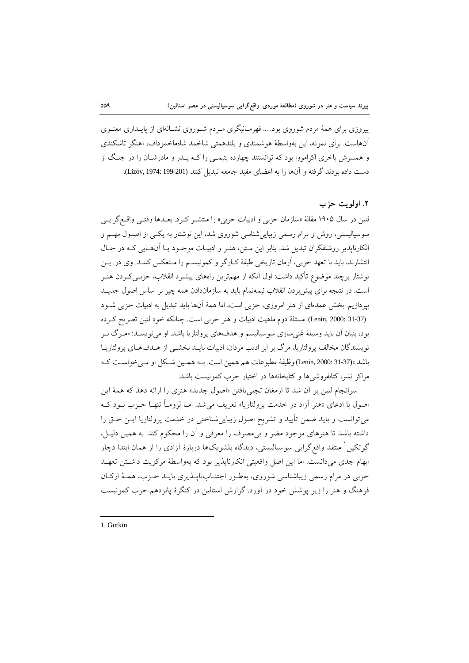پیروزی برای همۀ مردم شوروی بود. ... قهرمـانیگری مـردم شـوروی نشـانهای از پایـداری معنـوی آنهاست. برای نمونه، این بهواسطۀ هوشمندی و بلندهمتی شاخمد شاهماخموداف، آهنگر تاشکندی و همسرش باخری اکرامووا بود که توانستند چهارده یتیمـی را کـه پـدر و مادرشـان را در جنـگ از دست داده بودند گرفته و آنها را به اعضای مفید جامعه تبدیل کنند (Lizov, 1974: 199-201).

## **.2 اولویت حزب**

لنین در سال ۱۹۰۵ مقالهٔ «سازمان حزبی و ادبیات حزبی» را منتشـر کـرد. بعـدها وقتـی واقـع گرایـی سوسیالیستی، روش و مرام رسمی زیباییشناسی شوروی شد، این نوشتار به یکـی از اصـول مهـم و انکارناپذیر روشنفکران تبدیل شد. بنابر این متن، هنـر و ادبیـات موجـود یـا آنهـایی کـه در حـال انتشارند، باید با تعهد حزبی، آرمان تاریخی طبقۀ کـارگر و کمونیســم را مـنعکس کننــد. وی در ایــن نوشتار برچند موضوع تأکید داشت: اول آنکه از مهمترین راههای پیشبرد انقلاب، حزبــیکــردن هنــر است. در نتیجه برای پیش بردن انقلاب نیمهتمام باید به سازماندادن همه چیز بر اساس اصول جدیـد بپردازیم. بخش عمدهای از هنر امروزی، حزبی است، اما همۀ آنها باید تبدیل به ادبیات حزبی شـود (Lenin, 2000: 31-37). مسئلۀ دوم ماهیت ادبیات و هنر حزبی است. چنانکه خود لنین تصریح کرده بود، بنیان آن باید وسیلۀ غنیسازی سوسیالیسم و هدفهای پرولتاریا باشد. او مینویسـد: «مـرگ بـر نویسندگان مخالف پرولتاریا، مرگ بر ابر ادیب مردان، ادبیات بایـد بخشـی از هـدفهـای پرولتاریـا باشد.«(31-37 2000: ,Lenin (وظیفۀ مطبوعات هم همین است. بره همرین شرکل او مری خواسرت کره مراکز نشر، کتابفروشیها و کتابخانهها در اختیار وزب کمونیست باشد.

سرانجام نین بر آن شد تا ارمغان تجلییافتن »اصول جدید« هنر را ارائه دهد که همۀ این اصول با ادعای «هنر آزاد در خدمت پرولتاریا» تعریف میشد. امـا لزومـاً تنهـا حـزب بـود کـه میتوانست و باید ضمن تأیید و تشریح اصول زیبایی شناختی در خدمت پرولتاریا ایـن حـق را داشته باشد تا هنرهای موجود مضر و بی مصرف را معرفی و آن را محکوم کند. به همین دلیـل، گوتکین ٰ منتقد واقع گرایی سوسیالیستی، دیدگاه بلشویکها دربارۀ آزادی را از همان ابتدا دچار ابهام جدی می دانست. اما این اصل واقعیتی انکارناپذیر بود که بهواسطۀ مرکزیت داشتن تعهـد حزبی در مرام رسمی زیباشناسی شوروی، بهطـور اجتنـابناپـذیری بایـد حـزب، همـۀ ارکـان فرهنگ و هنر را زیر پوشش خود در آورد. گزارش استالین در کنگرۀ پانزدهم حزب کمونیست

1. Gutkin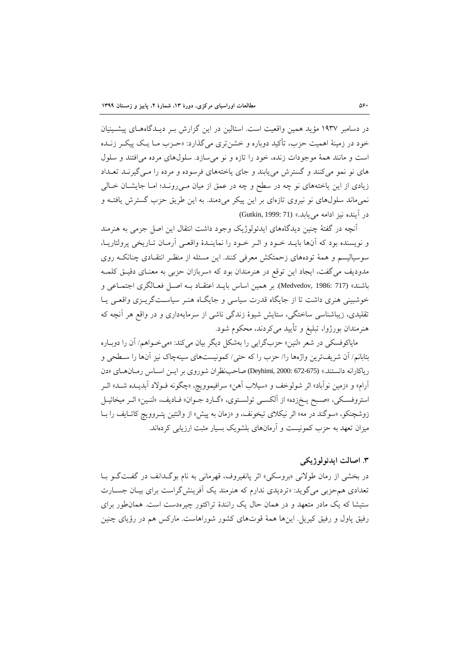در دسامبر ۱۹۳۷ مؤید همین واقعیت است. استالین در این گزارش بـر دیـدگاههـای پیشــینیان خود در زمینۀ اهمیت حزب، تأکید دوباره و خشنتری میگذارد: «حـزب مـا یـک پیکـر زنـده است و مانند همۀ موجودات زنده، خود را تازه و نو می سازد. سلولهای مرده می افتند و سلول های نو نمو میکنند و گسترش می یابند و جای یاختههای فرسوده و مرده را می گیرنـد تعـداد زیادی از این یاختههای نو چه در سطح و چه در عمق از میان مـی رونـد؛ امـا جایشـان خـالی نمیماند سلولهای نو نیروی تازهای بر این پیکر میدمند. به این طریق حزب گسترش یافتـه و در آینده نیز ادامه می یابد.» (Gutkin, 1999: 71)

آنچه در گفتۀ چنین دیدگاههای ایدئو لوژیک وجود داشت انتقال این اصل جزمی به هنرمند و نویسنده بود که آنها بایـد خـود و اثـر خـود را نماینـدۀ واقعـی آرمـان تـاریخی پرولتاریـا، سوسیالیسم و همۀ تودههای زحمتکش معرفی کنند. این مسئله از منظـر انتقـادی چنانکـه روی مدودیف می گفت، ایجاد این توقع در هنرمندان بود که «سربازان حزبی به معنـای دقیـق کلمـه باشند« (717 1986: ,Medvedov(. بر همین اساس بایرد اعتقراد بره اصرل فعرا گر اجتمراعی و خوشبینی هنری داشت تا از جایگاه قدرت سیاسی و جایگاه هنـر سیاسـتگریـزی واقعـی یـا تقلیدی، زیباشناسی ساختگی، ستایش شیوۀ زندگی ناشی از سرمایهداری و در واقع هر آنچه که هنرمندان بورژوا، تبلیغ و تأیید میکردند، محکوم شود.

مایاکوفسکی در شعر «لنین» حزبگرایی را بهشکل دیگر بیان میکند: «می خـواهم/ آن را دوبـاره بتابانم/ آن شریفترین واژهها را/ حزب را که حتی/ کمونیستهای سینهچاک نیز آنها را سطحی و ریاکارانه دانستند.» (672-675 Deyhimi, 2000: 672-675) صاحب نظران شوروی بر ایس اسباس رمبان هبای «دن آرام» و «زمین نوآباد» اثر شولوخف و «سیلاب آهن» سرافیموویچ، «چگونه فـولاد آبدیــده شــد» اثــر استروفسکی، «صبح یـخزده» از آلکسـی تولسـتوي، «گـارد جـوان» فـادیف، «لنـین» اثـر میخائیـل زوشچنکو، «سوگند در مه» اثر نیکلای تیخونف، و «زمان به پیش» از والنتین پتـروویچ کاتـایف را بــا میزان تعهد به حزب کمونیست و آرمانهای بلشویک بسیار مثبت ارزیابی کردهاند.

## **.1 اصالت ایدئولوژیکی**

در بخشی از رمان طوالنی »بروسکی« اثر پانفیروف، قهرمانی به نام بوگردانف در گفرت گرو برا تعدادی هم حزبی میگوید: «تردیدی ندارم که هنرمند یک آفرینشگراست برای بیـان جسـارت ستیشا که یک مادر متعهد و در همان حال یک رانندۀ تراکتور چیرهدست است. همان طور برای رفیق پاول و رفیق کیریل. اینها همۀ قوتهای کشور شوراهاست. مارکس هم در رؤیای چنین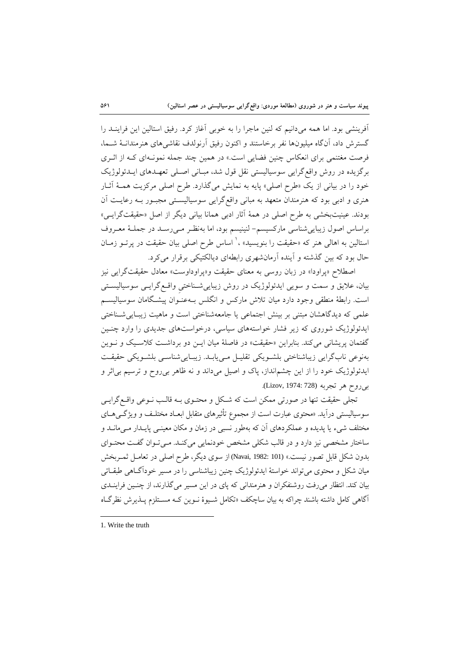آفرینشی بود. اما همه میدانیم که لنین ماجرا را به خوبی آغاز کرد. رفیق استالین این فراینــد را گسترش داد، آنگاه میلیونها نفر برخاستند و اکنون رفیق آرنولدف نقاشی های هنرمندانـۀ شــما، فرصت مغتنمی برای انعکاس چنین فضایی است.» در همین چند جمله نمونـهای کـه از اثـری برگزیده در روش واقع گرایی سوسیالیستی نقل قول شد، مبـانی اصـلی تعهـدهای ایـدئولوژیک خود را در بیانی از یک «طرح اصلی» پایه به نمایش میگذارد. طرح اصلی مرکزیت همـۀ آثـار هنری و ادبی بود که هنرمندان متعهد به مبانی واقع گرایی سوسیالیستی مجبور بـه رعایـت آن بودند. عینیتبخشی به طرح اصلی در همۀ آثار ادبی همانا بیانی دیگر از اصل «حقیقتگرایـی» براساس اصول زیباییشناسی مارکسیسم- نینیسم بود، اما بهنظرر مری رسرد در جملر ۀ معرروف ستالین به اهالی هنر که «حقیقت را بنویسید» ،' اساس طرح اصلی بیان حقیقت در پرتــو زمــان حال بود که بین گذشته و آینده آرمانشهری رابطهای دیالکتیکی برقرار میکرد.

اصطلاح «پراودا» در زبان روسی به معنای حقیقت و«پراوداوست» معادل حقیقتگرایی نیز بیان، علایق و سمت و سویی ایدئولوژیک در روش زیباییشـناختی واقـع گرایـی سوسیالیســتی است. رابطۀ منطقی وجود دارد میان تالش مارکس و انگلس بره عنروان پ یشرگامان سوسیا یسرم علمی که دیدگاهشان مبتنی بر بینش اجتماعی یا جامعهشناختی است و ماهیت زیبـایی شـناختی ایدئولوژیک شوروی که زیر فشار خواستههای سیاسی، درخواستهای جدیدی را وارد چنـین گفتمان پریشانی میکند. بنابراین «حقیقت» در فاصلۀ میان ایـن دو برداشـت کلاسـیک و نـوین بهنوعی نابگرایی زیباشناختی بلشرویکی تقلیرل مری یابرد. زیبرایی شناسری بلشرویکی وقیقرت ایدئو وکی خود را از این چشمانداز، پاک و اصیل میداند و نه ظاهر بیروح و ترسیم بیاثر و بی روح هر تجربه (Lizov, 1974: 728).

تجلی حقیقت تنها در صورتی ممکن است که شـکل و محتـوی بــه قالـب نــوعی واقــع گرایــی سوسیالیستی درآید. «محتوی عبارت است از مجموع تأثیرهای متقابل ابعـاد مختلـف و ویژگــیهــای مختلف شیء یا پدیده و عملکردهای آن که بهطور نسبی در زمان و مکان معینـی پایـدار مـیمانـد و ساختار مشخصی نیز دارد و در قالب شکلی مشخص خودنمایی میکند. مـیتوان گفـت محتـوای بدون شکل قابل تصور نیست.« (101 1982: ,Navai (از سو دیگر، طرح اصلی در تعامرل ثمرربخ ش میان شکل و محتوی می تواند خواستۀ ایدئولوژیک چنین زیباشناسی را در مسیر خودآگ0هی طبقـاتی بیان کند. انتظار میرفت روشنفکران و هنرمندانی که پای در این مسیر میگذارند، از چنـین فراینــدی آگاهی کامل داشته باشند چراکه به بیان ساچکف »تکامل شریو ۀ نروین کره مسرتلزم پرذیرش نظرگراه

<sup>1.</sup> Write the truth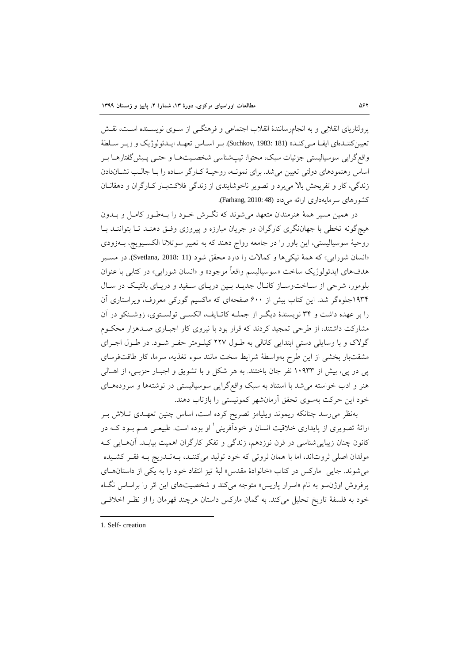پرولتاریای انقلابی و به انجامرسانندۀ انقلاب اجتماعی و فرهنگـی از سـوی نویســنده اســت، نقــش تعیین کننـدهای ایفـا مـی کنـد» (Suchkov, 1983: 181). بـر اسـاس تعهـد ایــدئولوژیک و زیـر سـلطۀ واقع گرایی سوسیالیستی جزئیات سبک، محتوا، تیپشناسی شخصـیتهـا و حتـی پـیش گفتارهـا بـر اساس رهنمودهای دولتی تعیین میشد. برای نمونـه، روحیـهٔ کـارگر سـاده را بـا جالـب نشـاندادن زندگی، کار و تفریحش بالا می برد و تصویر ناخوشایندی از زندگی فلاکتبار کـارگران و دهقانـان کشورهای سرمایهداری ارائه می داد (48 Farhang, 2010: 48).

در همین مسیر همۀ هنرمندان متعهد میشوند که نگررش خرود را بره طرور کامرل و بردون هیچگونه تخطی با جهاننگری کارگران در جریان مبارزه و پیروزی وفـق دهنـد تـا بتواننـد بـا روحیۀ سوسیالیستی، این باور را در جامعه رواج دهند که به تعبیر سوتلانا الکسـیویچ، بــهزودی »انسان شورایی« که همۀ نیکیها و کماالت را دارد محقق شود (11 2018: ,Svetlana(. در مسریر هدفهای ایدئولوژیک ساخت «سوسیالیسم واقعاً موجود» و «انسان شورایی» در کتابی با عنوان بلومور، شرحی از سـاخت وسـاز کانـال جدیــد بـین دریـای سـفید و دریـای بالتیـک در سـال ۱۹۳۴جلوهگر شد. این کتاب بیش از ۶۰۰ صفحهای که ماکسیم گورکی معروف، ویراستاری آن را بر عهده داشت و 91 نویسندۀ دیگرر از جملره کاترایف، ا کسری تو سرتو ، زوشرنکو در آن مشارکت داشتند، از طرحی تمجید کردند که قرار بود با نیروی کار اجباری صـدهزار محکـوم گولاک و با وسایلی دستی ابتدایی کانالی به طـول ۲۲۷ کیلـومتر حفـر شـود. در طـول اجـرای مشقتبار بخشی از این طرح بهواسطۀ شرایط سخت مانند سوء تغذیه، سرما، کار طاقتفرسا پی در پی، بیش از ۱۰۹۳۳ نفر جان باختند. به هر شکل و با تشویق و اجبار حزبـی، از اهـالی هنر و ادب خواسته می شد با استناد به سبک واقع گرایی سوسیالیستی در نوشتهها و سرودههای خود این حرکت بهسوی تحقق آرمانشهر کمونیستی را بازتاب دهند.

بهنظر میرسد چنانکه ریموند ویلیامز تصریح کرده است، اساس چنین تعهرد ترالش برر رائهٔ تصویری از پایداری خلاقیت انسان و خودآفرینی ٰ او بوده است. طبیعـی هــم بــود کــه در کانون چنان زیباییشناسی در قرن نوزدهم، زندگی و تفکر کارگران اهمیت بیابرد. آن هرایی کره مو دان اصلی ثروتاند، اما با همان ثروتی که خود تو ید میکننرد، بره تردریج بره فقرر کشریده میشوند. جایی مارکس در کتاب »خانوادۀ مقدس« بۀ تیز انتقاد خود را به یکی از داستانهرا پرفروش اوژن سو به نام «اسرار پاریس» متوجه میکند و شخصیتهای این اثر را براساس نگـاه خود به فلسفۀ تاریخ تحلیل میکند. به گمان مارکس داستان هرچند قهرمان را از نظرر اخالقری

<sup>1.</sup> Self- creation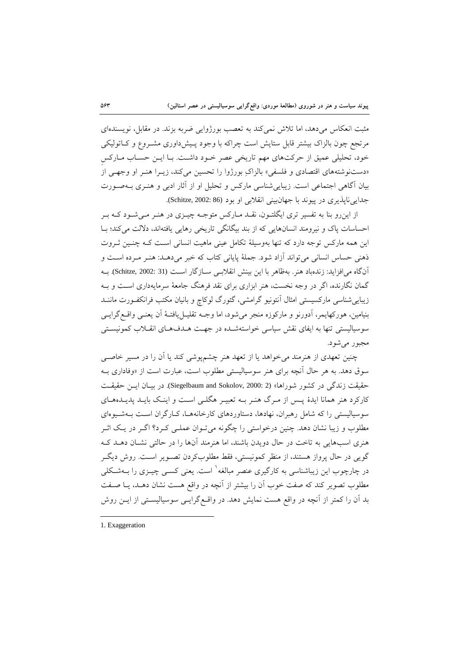مثبت انعکاس میدهد، اما تالش نمیکند به تعصب بورکوایی ضربه بزند. در مقابل، نویسندها مرتجع چون بالزاک بیشتر قابل ستایش است چراکه با وجود پـیشداوری مشـروع و کـاتولیکی خود، تحلیلی عمیق از حرکتهای مهم تاریخی عصر خـود داشـت. بـا ایـن حسـاب مـارکس «دستنوشتههای اقتصادی و فلسفی» بالزاکِ بورژوا را تحسین میکند، زیـرا هنـر او وجهـی از بیان آگاهی اجتماعی است. زیباییشناسی مارکس و تحلیل او از آثار ادبی و هنرر بره صرورت جدایی ناپذیری در پیوند با جهانبینی انقلابی او بود (86 :Schitze, 2002).

از اینرو بنا به تفسیر تری ایگلتـون، نقـد مـارکس متوجـه چیــزی در هنــر مــیشــود کــه بــر احساسات پاک و نیرومند انسانهایی که از بند بیگانگی تاریخی رهایی یافتهاند، دلالت میکند؛ بـا این همه مارکس توجه دارد که تنها بهوسیلۀ تکامل عینی ماهیت انسانی اسرت کره چنرین ثرروت ذهنی حساس انسانی می تواند آزاد شود. جملۀ پایانی کتاب که خبر میدهـد: هنـر مـرده اسـت و آنگاه می|فزاید: زندهباد هنر. بهظاهر با این بینش انقلابسی سـازگار اسـت (31 :Schitze, 2002). بــه گمان نگارنده، اگر در وجه نخست، هنر ابزاری برای نقد فرهنگ جامعۀ سرمایهداری است و بـه زیباییشناسی مارکسیستی امثال آنتونیو گرامشی، گئورگ لوکاچ و بانیان مکتب فرانکفـورت ماننــد بنیامین، هورکهایمر، آدورنو و مارکوزه منجر می شود، اما وجـه تقلیــل یافتــهٔ اَن یعنــی واقــع گرایــی سوسیالیستی تنها به ایفای نقش سیاسی خواستهشده در جهت هـدفهـای انقـلاب کمونیسـتی مجبور می شود.

چنین تعهدی از هنرمند میخواهد یا از تعهد هنر چشمپوشی کند یا آن را در مسیر خاصبی سوق دهد. به هر حال آنچه برای هنر سوسیالیستی مطلوب است، عبارت است از «وفاداری بــه حقیقت زندگی در کشور شوراها» (2 :Siegelbaum and Sokolov, 2000). در بیـان ایـن حقیقـت کارکرد هنر همانا ایدۀ پــس از مـرگ هنـر بــه تعبیــر هگلــی اســت و اینــک بایــد پدیــدههــای سوسیالیستی را که شامل رهبران، نهادها، دستاوردهای کارخانههـا، کـارگران اسـت بـهشـیوهای مطلوب و زیبا نشان دهد. چنین درخواستی را چگونه میتوان عملـی کـرد؟ اگـر در یـک اثـر هنری اسبهایی به تاخت در حال دویدن باشند، اما هنرمند آنها را در حالتی نشـان دهــد کــه گویی در وال پرواز هستند، از منظر کمونیستی، فقط مطلوبکردن تصرویر اسرت . روش دیگرر در چارچوب این زیباشناسی به کارگیری عنصر مبالغه<sup>۱</sup> است. یعنی کســی چیــزی را بــهشــکلی مطلوب تصویر کند که صفت خوب آن را بیشتر از آنچه در واقع هست نشان دهرد، یر ا صرفت بد آن را کمتر از آنچه در واقع هست نمایش دهد. در واقـع گرایـی سوسیالیسـتی از ایــن روش

1. Exaggeration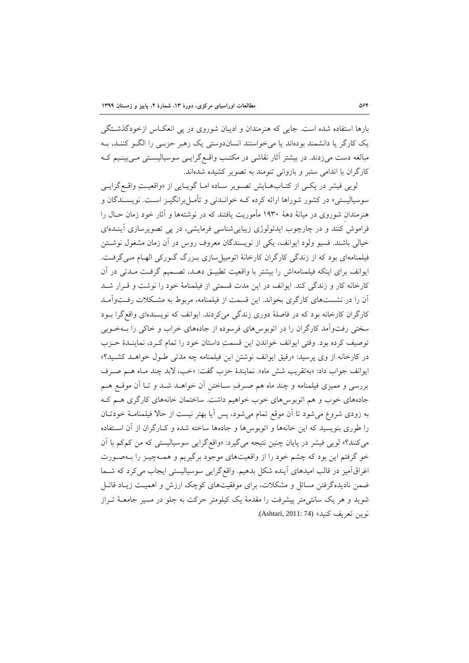بارها استفاده شده است. جایی که هنرمندان و ادیبان شوروی در پی انعکاس ازخودگذشتگی یک کارگر یا دانشمند بودهاند یا می خواستند انساندوستی یک رهبر حزبے را الگـو کننـد، بـه مبالغه دست میزدند. در بیشتر آثار نقاشی در مکتب واقسع گرایسی سوسیالیستی مسی بینسیم ک کارگران با اندامی ستبر و بازوانی تنومند به تصویر کشیده شدهاند.

لویی فیشر در یکهی از کتـابهـایش تصـویر سـاده امـا گویـایی از «واقعیـتِ واقـع گرایـی سوسیالیستی» در کشور شوراها ارائه کرده کـه خوانــدنی و تأمــلبرانگیــز اســت. نویســندگان و هنرمندان شوروی در میانۀ دهۀ ۱۹۳۰ مأموریت یافتند که در نوشتهها و آثار خود زمان حـال را فراموش کنند و در چارچوب ایدئولوژی زیبایی شناسی فرمایشی، در پی تصویرسازی آینـدهای خیالی باشند. فسیو ولود ایوانف، یکی از نویسندگان معروف روس در آن زمان مشغول نوشتن فیلمنامهای بود که از زندگی کارگران کارخانۀ اتومبیلسازی بـزرگ گـورکی الهـام مـیگرفـت. ایوانف برای اینکه فیلمنامهاش را بیشتر با واقعیت تطبیـق دهـد، تصـمیم گرفـت مـدتی در آن کارخانه کار و زندگی کند. ایوانف در این مدت قسمتی از فیلمنامۀ خود را نوشت و قررار شرد آن را در نشستهای کارگری بخواند. این قسمت از فیلمنامه، مربوط به مشکلات رفتواآمـد کارگران کارخانه بود که در فاصلۀ دوری زندگی میکردند. ایوانف که نویسندهای واقعگرا بـود سختی رفتوآمد کارگران را در اتوبوسهای فرسوده از جادههای خراب و خاکی را بـهخـوبی توصیف کرده بود. وقتی ایوانف خواندن این قسمتِ داستان خود را تمام کـرد، نماینـدۀ حـزب در کارخانه از وی پرسید: «رفیق ایوانف نوشتن این فیلمنامه چه مدتی طـول خواهـد کشـید؟» ایوانف جواب داد: «بهتقریب شش ماه». نمایندۀ حزب گفت: «خب، لابد چند مـاه هــم صـرف بررسی و ممیز فیلمنامه و چند ماه هم صررفِ سراختنِ آن خواهرد شرد و ترا آن موقرع هرم جادههای خوب و هم اتوبوسهای خوب خواهیم داشت. ساختمان خانههای کارگری هـم کـه به زودی شروع می شود تا آن موقع تمام می شود، پس آیا بهتر نیست از حالا فیلمنامـۀ خودتـان را طوری بنویسید که این خانهها و اتوبوسها و جادهها ساخته شده و کـارگران از آن اســتفاده میکنند؟» لویی فیشر در پایان چنین نتیجه میگیرد: «واقعگرایی سوسیالیستی که من کمکم با آن خو گرفتم این بود که چشم خود را از واقعیتهای موجود برگیریم و همـهچیـز را بـهصـورت اغراقآمیز در قالب امیدهای آینده شکل بدهیم. واقع گرایی سوسیالیستی ایجاب میکرد که شـما ضمن نادیدهگرفتن مسائل و مشکلات، برای موفقیتهای کوچک ارزش و اهمیت زیـاد قائـل شوید و هر یک سانتی متر پیشرفت را مقدمۀ یک کیلومتر حرکت به جلو در مسیر جامعـۀ تـراز نوین تعریف کنید« (74 2011: ,Ashtari(.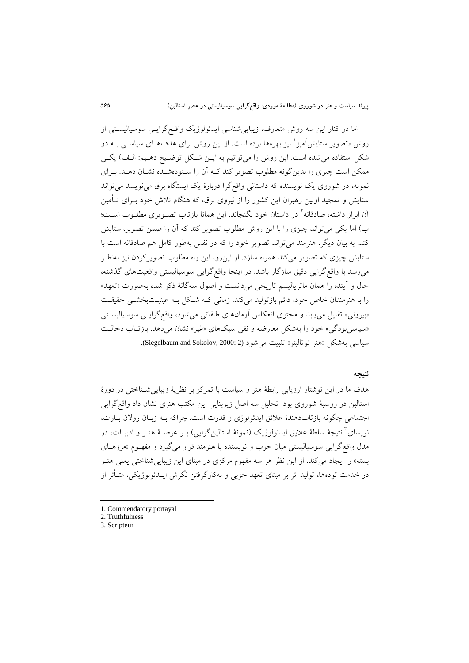اما در کنار این سه روش متعارف، زیبایی شناسی ایدئولوژیک واقسع گرایسی سوسیالیستی از روش «تصویر ستایشآمیز <sup>۱</sup> نیز بهرهها برده است. از این روش برای هدفهـای سیاســی بــه دو شکل استفاده می شده است. این روش را می توانیم به ایـن شـکل توضـیح دهـیم: الـف) یکـی ممکن است چیزی را بدینگونه مطلوب تصویر کند کـه آن را سـتودهشـده نشـان دهـد. بـرای نمونه، در شوروی یک نویسنده که داستانی واقعگرا دربارۀ یک ایستگاه برق می نویسد می تواند ستایش و تمجید اولین رهبران این کشور را از نیروی برق، که هنگام تلاش خود بـرای تـأمین أن ابراز داشته، صادقانه` در داستان خود بگنجاند. این همانا بازتاب تصـویری مطلــوب اســت؛ ب) اما یکی می تواند چیزی را با این روش مطلوب تصویر کند که آن را ضمن تصویر، ستایش کند. به بیان دیگر، هنرمند میتواند تصویر خود را که در نفس بهطور کامل هم صادقانه است با ستایش چیز که تصویر میکند همراه سازد. از اینرو، این راه مطلوب تصویرکردن نیز بهنظرر میرسد با واقع گرایی دقیق سازگار باشد. در اینجا واقع گرایی سوسیالیستی واقعیتهای گذشته، وال و آینده را همان ماتریا یسم تاریخی میدانست و اصول سهگانۀ ذکر شده بهصورت »تعهد« را با هنرمندان خاص خود، دائم بازتولید میکند. زمانی که شکل بـه عینیـتبخشـی حقیقـت «بیرونی» تقلیل می یابد و محتوی انعکاس آرمانهای طبقاتی می شود، واقع گرایسی سوسیالیستی «سیاسیبودگی» خود را بهشکل معارضه و نفی سبکهای «غیر» نشان می دهد. بازتـاب دخالـت سیاسی بهشکل «هنر توتالیتر» تثبیت می شود (2 :Siegelbaum and Sokolov, 2000).

## **نتيجه**

هدف ما در این نوشتار ارزیابی رابطۀ هنر و سیاست با تمرکز بر نظریۀ زیباییشرناختی در دورۀ استالین در روسیۀ شوروی بود. تحلیل سه اصل زیربنایی این مکتب هنری نشان داد واقعگرایی اجتماعی چگونه بازتابدهندۀ علائق ایدئولوژی و قدرت است. چراکه بــه زبــان رولان بــارت، نویسای<sup>۲</sup> نتیجۀ سلطۀ علایق ایدئولوژیک (نمونۀ استالینگرایی) بـر عرصـۀ هنـر و ادبیــات، در مدل واقع گرایی سوسیالیستی میان حزب و نویسنده یا هنرمند قرار میگیرد و مفهـوم «مرزهـای بسته» را ایجاد می کند. از این نظر هر سه مفهوم مرکزی در مبنای این زیبایی شناختی یعنی هنـر در خدمت تودهها، تولید اثر بر مبنای تعهد حزبی و بهکارگرفتن نگرش ایــدئولوژیکی، متــأثر از

2. Truthfulness

<sup>1.</sup> Commendatory portayal

<sup>3.</sup> Scripteur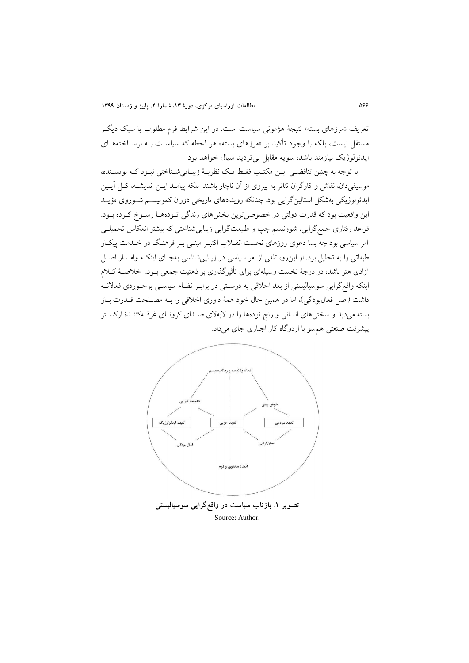تعریف «مرزهای بسته» نتیجۀ هژمونی سیاست است. در این شرایط فرم مطلوب یا سبک دیگـر مستقل نیست، بلکه با وجود تأکید بر «مرزهای بسته» هر لحظه که سیاست بـه برسـاختههـای ایدئو وکی نیازمند باشد، سویه مقابل بیتردید سیال خواهد بود.

با توجه به چنین تناقضی ایـن مکتـب فقـط یـک نظریـهٔ زیبـاییشـناختی نبـود کـه نویسـنده، موسیقیدان، نقاش و کارگران تئاتر به پیروی از آن ناچار باشند. بلکه پیامـد ایـن اندیشـه، کـل آیـین ایدئولوژیکی بهشکل استالین گرایی بود. چنانکه رویدادهای تاریخی دوران کمونیسـم شـوروی مؤیـد این واقعیت بود که قدرت دولتی در خصوصیترین بخشهای زندگی تـودههـا رسـوخ کـرده بـود. قواعد رفتاری جمع گرایی، شوونیسم چپ و طبیعتگرایی زیباییشناختی که بیشتر انعکاس تحمیلـی امر سیاسی بود چه بسا دعوی روزهای نخست انقـلاب اکتبـر مبنـی بـر فرهنـگ در خـدمت پیکـار طبقاتی را به تحلیل برد. از این رو، تلقی از امر سیاسی در زیبایی شناسی بهجـای اینکـه وامـدار اصـل آزادی هنر باشد، در درجۀ نخست وسیلهای برای تأثیرگذاری بر ذهنیت جمعی بـود. خلاصـۀ کـلام اینکه واقع گرایی سوسیالیستی از بعد اخلاقی به درسـتی در برابـر نظـام سیاســی برخــوردی فعالانــه داشت (اصل فعالبودگی)، اما در همین حال خود همۀ داوری اخلاقی را بـه مصـلحت قــدرت بــاز بسته میدید و سختیهای انسانی و رنج تودهها را در لابهلای صدای کرونای غرقه کنندهٔ ارکستر پیشرفت صنعتی هم سو با اردوگاه کار اجباری جای میداد.

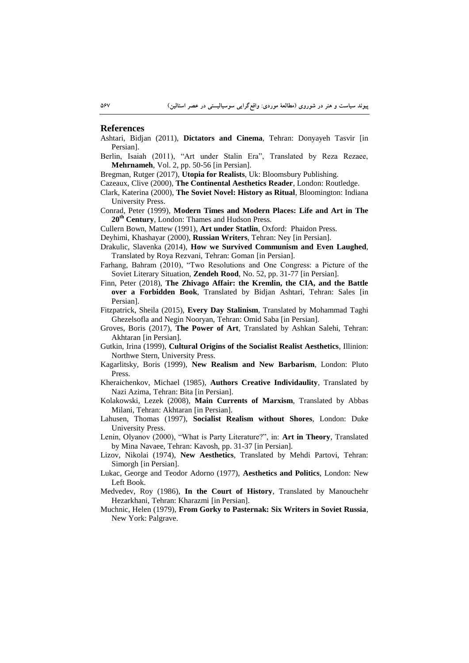#### **References**

Ashtari, Bidjan (2011), **Dictators and Cinema**, Tehran: Donyayeh Tasvir [in Persian].

- Berlin, Isaiah (2011), "Art under Stalin Era", Translated by Reza Rezaee, **Mehrnameh**, Vol. 2, pp. 50-56 [in Persian].
- Bregman, Rutger (2017), **Utopia for Realists**, Uk: Bloomsbury Publishing.
- Cazeaux, Clive (2000), **The Continental Aesthetics Reader**, London: Routledge.
- Clark, Katerina (2000), **The Soviet Novel: History as Ritual**, Bloomington: Indiana University Press.
- Conrad, Peter (1999), **Modern Times and Modern Places: Life and Art in The 20th Century**, London: Thames and Hudson Press.
- Cullern Bown, Mattew (1991), **Art under Statlin**, Oxford: Phaidon Press.
- Deyhimi, Khashayar (2000), **Russian Writers**, Tehran: Ney [in Persian].
- Drakulic, Slavenka (2014), **How we Survived Communism and Even Laughed**, Translated by Roya Rezvani, Tehran: Goman [in Persian].
- Farhang, Bahram (2010), "Two Resolutions and One Congress: a Picture of the Soviet Literary Situation, **Zendeh Rood**, No. 52, pp. 31-77 [in Persian].
- Finn, Peter (2018), **The Zhivago Affair: the Kremlin, the CIA, and the Battle over a Forbidden Book**, Translated by Bidjan Ashtari, Tehran: Sales [in Persian].
- Fitzpatrick, Sheila (2015), **Every Day Stalinism**, Translated by Mohammad Taghi Ghezelsofla and Negin Nooryan, Tehran: Omid Saba [in Persian].
- Groves, Boris (2017), **The Power of Art**, Translated by Ashkan Salehi, Tehran: Akhtaran [in Persian].
- Gutkin, Irina (1999), **Cultural Origins of the Socialist Realist Aesthetics**, Illinion: Northwe Stern, University Press.
- Kagarlitsky, Boris (1999), **New Realism and New Barbarism**, London: Pluto Press.
- Kheraichenkov, Michael (1985), **Authors Creative Individaulity**, Translated by Nazi Azima, Tehran: Bita [in Persian].
- Kolakowski, Lezek (2008), **Main Currents of Marxism**, Translated by Abbas Milani, Tehran: Akhtaran [in Persian].
- Lahusen, Thomas (1997), **Socialist Realism without Shores**, London: Duke University Press.
- Lenin, Olyanov (2000), "What is Party Literature?", in: **Art in Theory**, Translated by Mina Navaee, Tehran: Kavosh, pp. 31-37 [in Persian].
- Lizov, Nikolai (1974), **New Aesthetics**, Translated by Mehdi Partovi, Tehran: Simorgh [in Persian].
- Lukac, George and Teodor Adorno (1977), **Aesthetics and Politics**, London: New Left Book.
- Medvedev, Roy (1986), **In the Court of History**, Translated by Manouchehr Hezarkhani, Tehran: Kharazmi [in Persian].
- Muchnic, Helen (1979), **From Gorky to Pasternak: Six Writers in Soviet Russia**, New York: Palgrave.